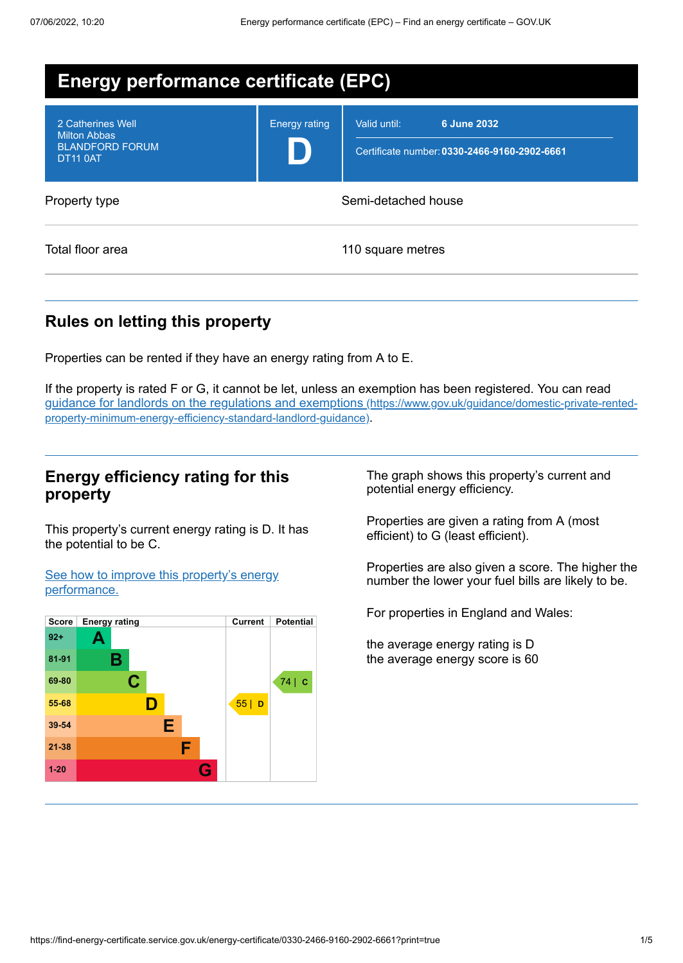| <b>Energy performance certificate (EPC)</b>                                           |                      |                                                                             |  |
|---------------------------------------------------------------------------------------|----------------------|-----------------------------------------------------------------------------|--|
| 2 Catherines Well<br><b>Milton Abbas</b><br><b>BLANDFORD FORUM</b><br><b>DT11 0AT</b> | <b>Energy rating</b> | 6 June 2032<br>Valid until:<br>Certificate number: 0330-2466-9160-2902-6661 |  |
| Property type                                                                         | Semi-detached house  |                                                                             |  |
| Total floor area                                                                      |                      | 110 square metres                                                           |  |

# **Rules on letting this property**

Properties can be rented if they have an energy rating from A to E.

If the property is rated F or G, it cannot be let, unless an exemption has been registered. You can read guidance for landlords on the regulations and exemptions (https://www.gov.uk/guidance/domestic-private-rented[property-minimum-energy-efficiency-standard-landlord-guidance\)](https://www.gov.uk/guidance/domestic-private-rented-property-minimum-energy-efficiency-standard-landlord-guidance).

# **Energy efficiency rating for this property**

This property's current energy rating is D. It has the potential to be C.

See how to improve this property's energy [performance.](#page-2-0)



The graph shows this property's current and potential energy efficiency.

Properties are given a rating from A (most efficient) to G (least efficient).

Properties are also given a score. The higher the number the lower your fuel bills are likely to be.

For properties in England and Wales:

the average energy rating is D the average energy score is 60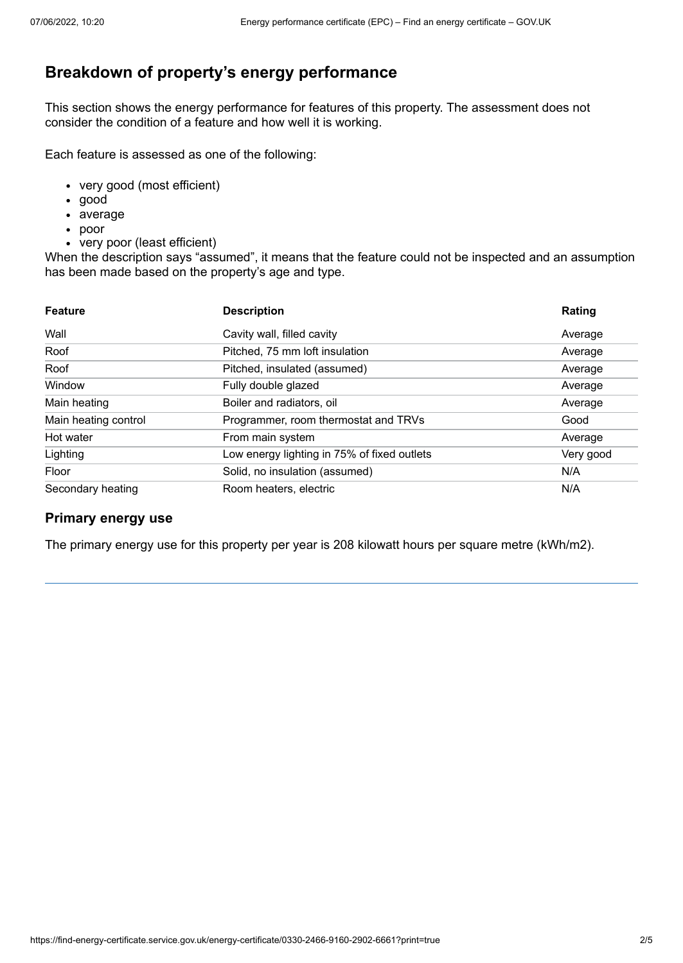# **Breakdown of property's energy performance**

This section shows the energy performance for features of this property. The assessment does not consider the condition of a feature and how well it is working.

Each feature is assessed as one of the following:

- very good (most efficient)
- good
- average
- poor
- very poor (least efficient)

When the description says "assumed", it means that the feature could not be inspected and an assumption has been made based on the property's age and type.

| <b>Feature</b>       | <b>Description</b>                          | Rating    |
|----------------------|---------------------------------------------|-----------|
| Wall                 | Cavity wall, filled cavity                  | Average   |
| Roof                 | Pitched, 75 mm loft insulation              | Average   |
| Roof                 | Pitched, insulated (assumed)                | Average   |
| Window               | Fully double glazed                         | Average   |
| Main heating         | Boiler and radiators, oil                   | Average   |
| Main heating control | Programmer, room thermostat and TRVs        | Good      |
| Hot water            | From main system                            | Average   |
| Lighting             | Low energy lighting in 75% of fixed outlets | Very good |
| Floor                | Solid, no insulation (assumed)              | N/A       |
| Secondary heating    | Room heaters, electric                      | N/A       |

#### **Primary energy use**

The primary energy use for this property per year is 208 kilowatt hours per square metre (kWh/m2).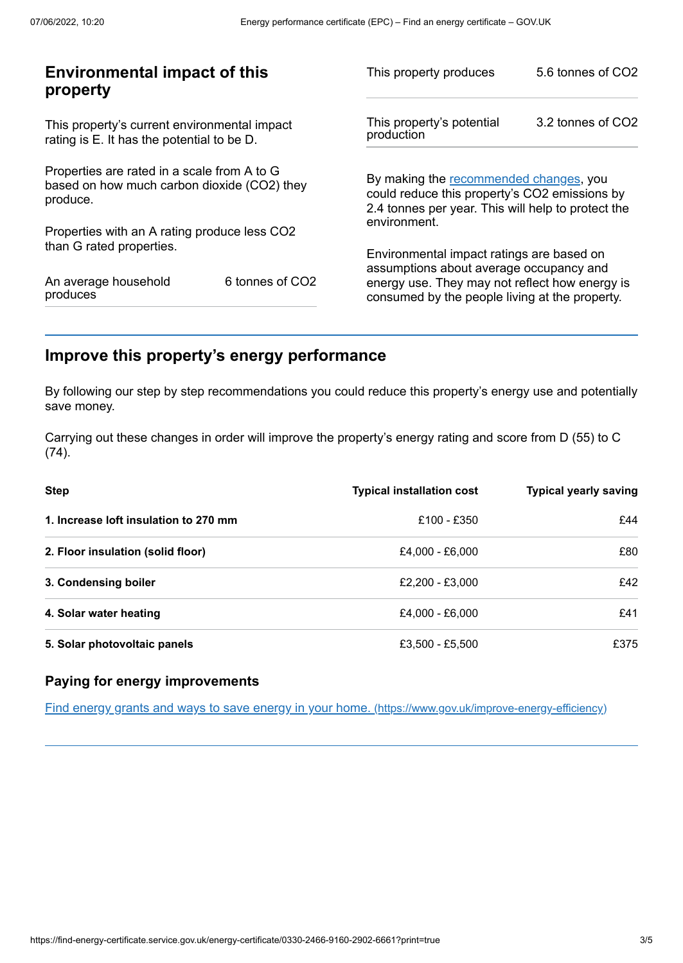| This property produces                                                                                                                        | 5.6 tonnes of CO2                                       |
|-----------------------------------------------------------------------------------------------------------------------------------------------|---------------------------------------------------------|
| This property's potential<br>production                                                                                                       | 3.2 tonnes of CO2                                       |
| By making the recommended changes, you<br>could reduce this property's CO2 emissions by<br>2.4 tonnes per year. This will help to protect the |                                                         |
|                                                                                                                                               |                                                         |
| Environmental impact ratings are based on                                                                                                     |                                                         |
| energy use. They may not reflect how energy is<br>consumed by the people living at the property.                                              |                                                         |
|                                                                                                                                               | environment.<br>assumptions about average occupancy and |

# <span id="page-2-0"></span>**Improve this property's energy performance**

By following our step by step recommendations you could reduce this property's energy use and potentially save money.

Carrying out these changes in order will improve the property's energy rating and score from D (55) to C (74).

| <b>Step</b>                           | <b>Typical installation cost</b> | <b>Typical yearly saving</b> |
|---------------------------------------|----------------------------------|------------------------------|
| 1. Increase loft insulation to 270 mm | £100 - £350                      | £44                          |
| 2. Floor insulation (solid floor)     | £4,000 - £6,000                  | £80                          |
| 3. Condensing boiler                  | £2,200 - £3,000                  | £42                          |
| 4. Solar water heating                | £4,000 - £6,000                  | £41                          |
| 5. Solar photovoltaic panels          | £3,500 - £5,500                  | £375                         |

## **Paying for energy improvements**

Find energy grants and ways to save energy in your home. [\(https://www.gov.uk/improve-energy-efficiency\)](https://www.gov.uk/improve-energy-efficiency)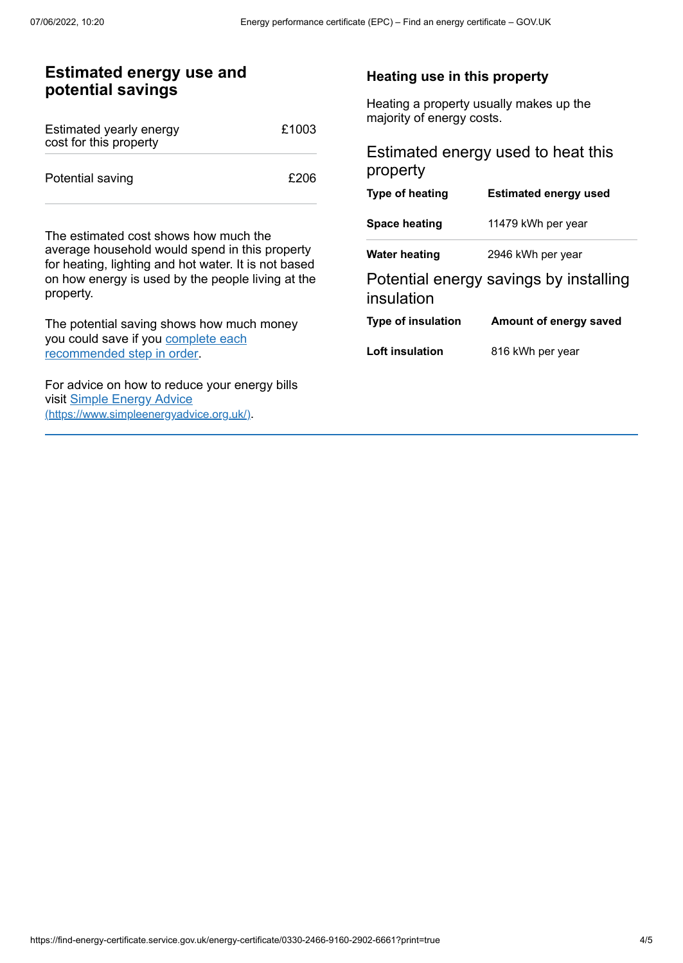# **Estimated energy use and potential savings**

| Estimated yearly energy<br>cost for this property | £1003 |
|---------------------------------------------------|-------|
| Potential saving                                  | £206  |

The estimated cost shows how much the average household would spend in this property for heating, lighting and hot water. It is not based on how energy is used by the people living at the property.

The potential saving shows how much money you could save if you complete each [recommended](#page-2-0) step in order.

For advice on how to reduce your energy bills visit Simple Energy Advice [\(https://www.simpleenergyadvice.org.uk/\)](https://www.simpleenergyadvice.org.uk/).

#### **Heating use in this property**

Heating a property usually makes up the majority of energy costs.

# Estimated energy used to heat this property

| Type of heating           | <b>Estimated energy used</b>           |
|---------------------------|----------------------------------------|
| <b>Space heating</b>      | 11479 kWh per year                     |
| <b>Water heating</b>      | 2946 kWh per year                      |
| insulation                | Potential energy savings by installing |
| <b>Type of insulation</b> | Amount of energy saved                 |
| Loft insulation           | 816 kWh per year                       |